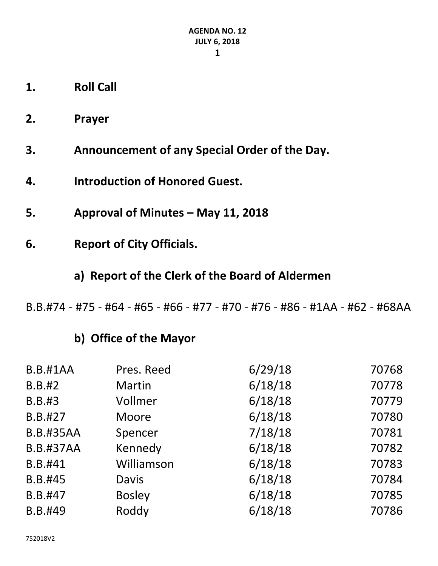- **1. Roll Call**
- **2. Prayer**
- **3. Announcement of any Special Order of the Day.**
- **4. Introduction of Honored Guest.**
- **5. Approval of Minutes – May 11, 2018**
- **6. Report of City Officials.**
	- **a) Report of the Clerk of the Board of Aldermen**
- B.B.#74 #75 #64 #65 #66 #77 #70 #76 #86 #1AA #62 #68AA

### **b) Office of the Mayor**

| <b>B.B.#1AA</b>  | Pres. Reed    | 6/29/18 | 70768 |
|------------------|---------------|---------|-------|
| <b>B.B.#2</b>    | Martin        | 6/18/18 | 70778 |
| <b>B.B.#3</b>    | Vollmer       | 6/18/18 | 70779 |
| B.B.#27          | Moore         | 6/18/18 | 70780 |
| <b>B.B.#35AA</b> | Spencer       | 7/18/18 | 70781 |
| <b>B.B.#37AA</b> | Kennedy       | 6/18/18 | 70782 |
| B.B.#41          | Williamson    | 6/18/18 | 70783 |
| B.B.#45          | <b>Davis</b>  | 6/18/18 | 70784 |
| B.B.#47          | <b>Bosley</b> | 6/18/18 | 70785 |
| B.B.#49          | Roddy         | 6/18/18 | 70786 |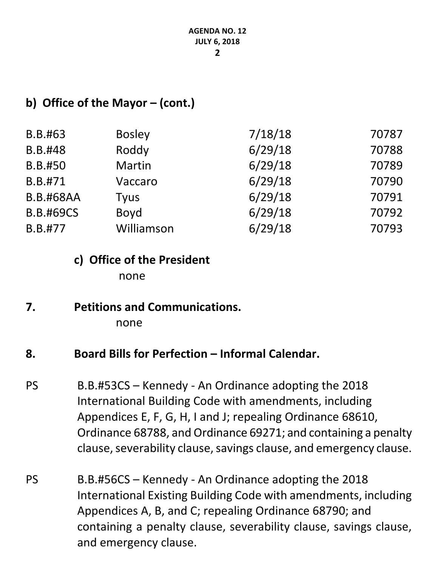#### **b) Office of the Mayor – (cont.)**

| <b>Bosley</b> | 7/18/18 | 70787 |
|---------------|---------|-------|
| Roddy         | 6/29/18 | 70788 |
| <b>Martin</b> | 6/29/18 | 70789 |
| Vaccaro       | 6/29/18 | 70790 |
| <b>Tyus</b>   | 6/29/18 | 70791 |
| Boyd          | 6/29/18 | 70792 |
| Williamson    | 6/29/18 | 70793 |
|               |         |       |

# **c) Office of the President**

none

## **7. Petitions and Communications.**

none

#### **8. Board Bills for Perfection – Informal Calendar.**

- PS B.B.#53CS Kennedy An Ordinance adopting the 2018 International Building Code with amendments, including Appendices E, F, G, H, I and J; repealing Ordinance 68610, Ordinance 68788, and Ordinance 69271; and containing a penalty clause, severability clause, savings clause, and emergency clause.
- PS B.B.#56CS Kennedy An Ordinance adopting the 2018 International Existing Building Code with amendments, including Appendices A, B, and C; repealing Ordinance 68790; and containing a penalty clause, severability clause, savings clause, and emergency clause.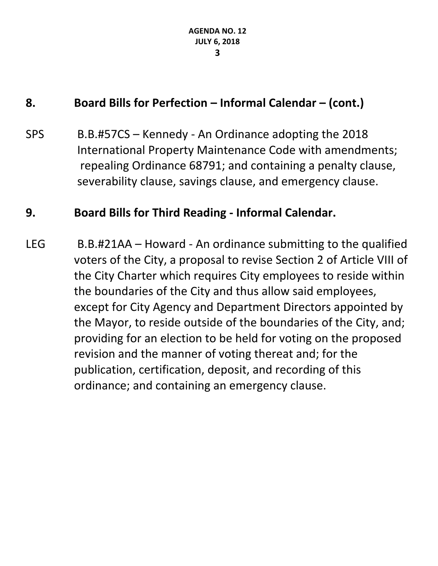### **8. Board Bills for Perfection – Informal Calendar – (cont.)**

SPS B.B.#57CS – Kennedy - An Ordinance adopting the 2018 International Property Maintenance Code with amendments; repealing Ordinance 68791; and containing a penalty clause, severability clause, savings clause, and emergency clause.

#### **9. Board Bills for Third Reading - Informal Calendar.**

LEG B.B.#21AA – Howard - An ordinance submitting to the qualified voters of the City, a proposal to revise Section 2 of Article VIII of the City Charter which requires City employees to reside within the boundaries of the City and thus allow said employees, except for City Agency and Department Directors appointed by the Mayor, to reside outside of the boundaries of the City, and; providing for an election to be held for voting on the proposed revision and the manner of voting thereat and; for the publication, certification, deposit, and recording of this ordinance; and containing an emergency clause.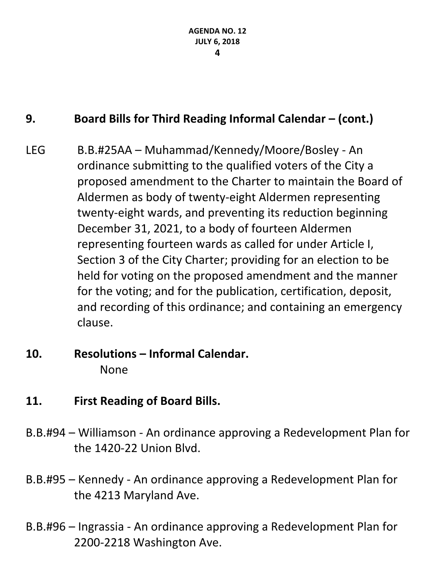### **9. Board Bills for Third Reading Informal Calendar – (cont.)**

- LEG B.B.#25AA Muhammad/Kennedy/Moore/Bosley An ordinance submitting to the qualified voters of the City a proposed amendment to the Charter to maintain the Board of Aldermen as body of twenty-eight Aldermen representing twenty-eight wards, and preventing its reduction beginning December 31, 2021, to a body of fourteen Aldermen representing fourteen wards as called for under Article I, Section 3 of the City Charter; providing for an election to be held for voting on the proposed amendment and the manner for the voting; and for the publication, certification, deposit, and recording of this ordinance; and containing an emergency clause.
- **10. Resolutions – Informal Calendar.** None
- **11. First Reading of Board Bills.**
- B.B.#94 Williamson An ordinance approving a Redevelopment Plan for the 1420-22 Union Blvd.
- B.B.#95 Kennedy An ordinance approving a Redevelopment Plan for the 4213 Maryland Ave.
- B.B.#96 Ingrassia An ordinance approving a Redevelopment Plan for 2200-2218 Washington Ave.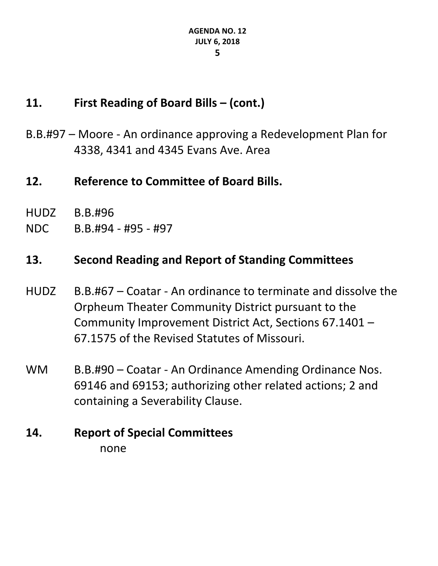### **11. First Reading of Board Bills – (cont.)**

- B.B.#97 Moore An ordinance approving a Redevelopment Plan for 4338, 4341 and 4345 Evans Ave. Area
- **12. Reference to Committee of Board Bills.**
- HUDZ B.B.#96
- NDC B.B.#94 #95 #97

### **13. Second Reading and Report of Standing Committees**

- HUDZ B.B.#67 Coatar An ordinance to terminate and dissolve the Orpheum Theater Community District pursuant to the Community Improvement District Act, Sections 67.1401 – 67.1575 of the Revised Statutes of Missouri.
- WM B.B.#90 Coatar An Ordinance Amending Ordinance Nos. 69146 and 69153; authorizing other related actions; 2 and containing a Severability Clause.
- **14. Report of Special Committees** none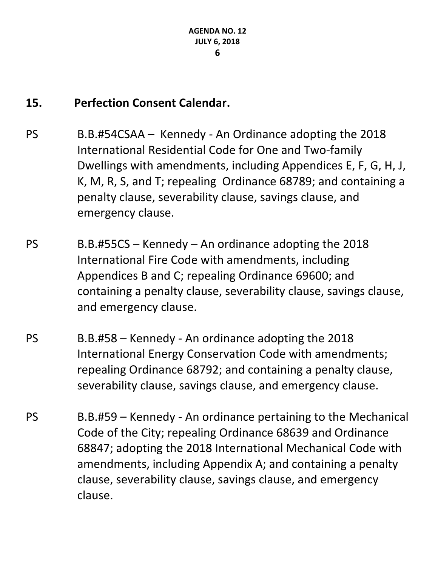### **15. Perfection Consent Calendar.**

- PS B.B.#54CSAA Kennedy An Ordinance adopting the 2018 International Residential Code for One and Two-family Dwellings with amendments, including Appendices E, F, G, H, J, K, M, R, S, and T; repealing Ordinance 68789; and containing a penalty clause, severability clause, savings clause, and emergency clause.
- PS B.B.#55CS Kennedy An ordinance adopting the 2018 International Fire Code with amendments, including Appendices B and C; repealing Ordinance 69600; and containing a penalty clause, severability clause, savings clause, and emergency clause.
- PS B.B.#58 Kennedy An ordinance adopting the 2018 International Energy Conservation Code with amendments; repealing Ordinance 68792; and containing a penalty clause, severability clause, savings clause, and emergency clause.
- PS B.B.#59 Kennedy An ordinance pertaining to the Mechanical Code of the City; repealing Ordinance 68639 and Ordinance 68847; adopting the 2018 International Mechanical Code with amendments, including Appendix A; and containing a penalty clause, severability clause, savings clause, and emergency clause.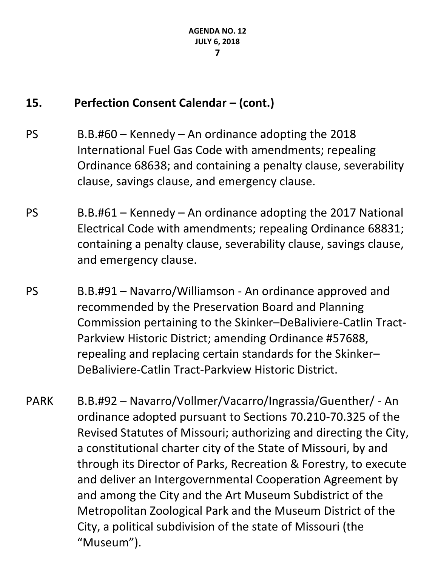### **15. Perfection Consent Calendar – (cont.)**

- $PS$  B.B.#60 Kennedy An ordinance adopting the 2018 International Fuel Gas Code with amendments; repealing Ordinance 68638; and containing a penalty clause, severability clause, savings clause, and emergency clause.
- PS B.B.#61 Kennedy An ordinance adopting the 2017 National Electrical Code with amendments; repealing Ordinance 68831; containing a penalty clause, severability clause, savings clause, and emergency clause.
- PS B.B.#91 Navarro/Williamson An ordinance approved and recommended by the Preservation Board and Planning Commission pertaining to the Skinker–DeBaliviere-Catlin Tract-Parkview Historic District; amending Ordinance #57688, repealing and replacing certain standards for the Skinker– DeBaliviere-Catlin Tract-Parkview Historic District.
- PARK B.B.#92 Navarro/Vollmer/Vacarro/Ingrassia/Guenther/ An ordinance adopted pursuant to Sections 70.210-70.325 of the Revised Statutes of Missouri; authorizing and directing the City, a constitutional charter city of the State of Missouri, by and through its Director of Parks, Recreation & Forestry, to execute and deliver an Intergovernmental Cooperation Agreement by and among the City and the Art Museum Subdistrict of the Metropolitan Zoological Park and the Museum District of the City, a political subdivision of the state of Missouri (the "Museum").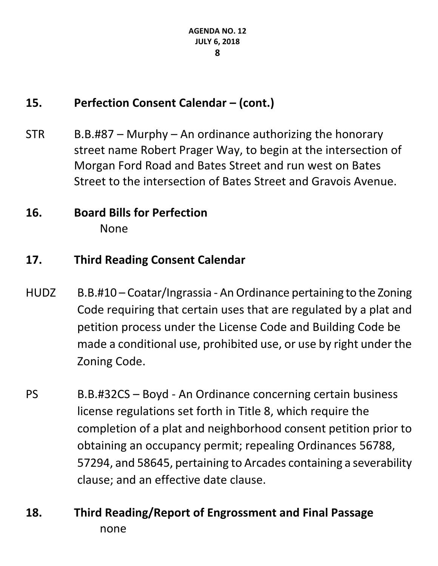### **15. Perfection Consent Calendar – (cont.)**

 $STR$  B.B.#87 – Murphy – An ordinance authorizing the honorary street name Robert Prager Way, to begin at the intersection of Morgan Ford Road and Bates Street and run west on Bates Street to the intersection of Bates Street and Gravois Avenue.

### **16. Board Bills for Perfection** None

### **17. Third Reading Consent Calendar**

- HUDZ B.B.#10 Coatar/Ingrassia An Ordinance pertaining to the Zoning Code requiring that certain uses that are regulated by a plat and petition process under the License Code and Building Code be made a conditional use, prohibited use, or use by right under the Zoning Code.
- PS B.B.#32CS Boyd An Ordinance concerning certain business license regulations set forth in Title 8, which require the completion of a plat and neighborhood consent petition prior to obtaining an occupancy permit; repealing Ordinances 56788, 57294, and 58645, pertaining to Arcades containing a severability clause; and an effective date clause.
- **18. Third Reading/Report of Engrossment and Final Passage** none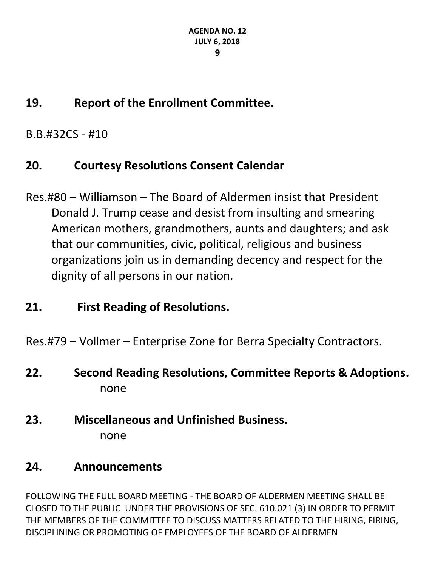## **19. Report of the Enrollment Committee.**

B.B.#32CS - #10

## **20. Courtesy Resolutions Consent Calendar**

Res.#80 – Williamson – The Board of Aldermen insist that President Donald J. Trump cease and desist from insulting and smearing American mothers, grandmothers, aunts and daughters; and ask that our communities, civic, political, religious and business organizations join us in demanding decency and respect for the dignity of all persons in our nation.

## **21. First Reading of Resolutions.**

Res.#79 – Vollmer – Enterprise Zone for Berra Specialty Contractors.

- **22. Second Reading Resolutions, Committee Reports & Adoptions.** none
- **23. Miscellaneous and Unfinished Business.** none

## **24. Announcements**

FOLLOWING THE FULL BOARD MEETING - THE BOARD OF ALDERMEN MEETING SHALL BE CLOSED TO THE PUBLIC UNDER THE PROVISIONS OF SEC. 610.021 (3) IN ORDER TO PERMIT THE MEMBERS OF THE COMMITTEE TO DISCUSS MATTERS RELATED TO THE HIRING, FIRING, DISCIPLINING OR PROMOTING OF EMPLOYEES OF THE BOARD OF ALDERMEN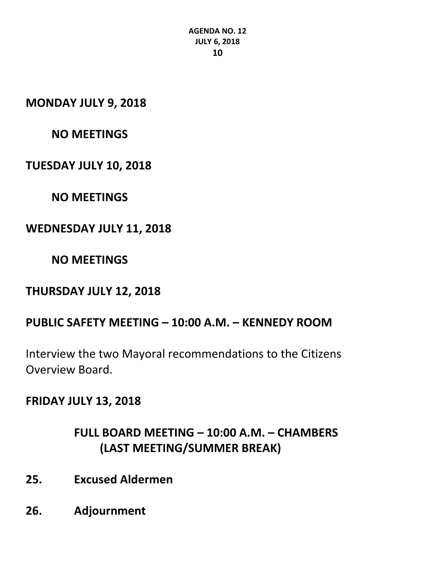**MONDAY JULY 9, 2018**

### **NO MEETINGS**

#### **TUESDAY JULY 10, 2018**

**NO MEETINGS**

#### **WEDNESDAY JULY 11, 2018**

#### **NO MEETINGS**

#### **THURSDAY JULY 12, 2018**

### **PUBLIC SAFETY MEETING – 10:00 A.M. – KENNEDY ROOM**

Interview the two Mayoral recommendations to the Citizens Overview Board.

#### **FRIDAY JULY 13, 2018**

### **FULL BOARD MEETING – 10:00 A.M. – CHAMBERS (LAST MEETING/SUMMER BREAK)**

- **25. Excused Aldermen**
- **26. Adjournment**